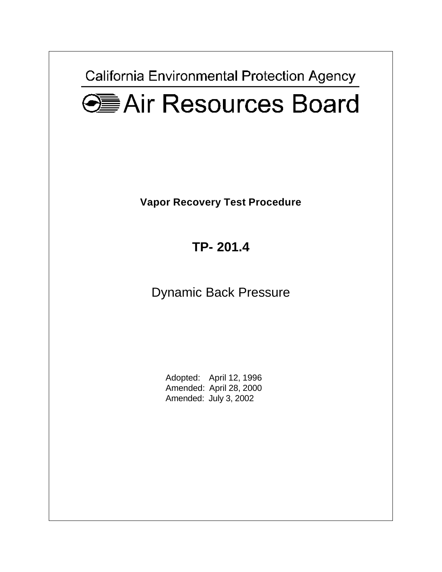California Environmental Protection Agency

# **GEAir Resources Board**

**Vapor Recovery Test Procedure** 

**TP- 201.4** 

Dynamic Back Pressure

Adopted: April 12, 1996 Amended: April 28, 2000 Amended: July 3, 2002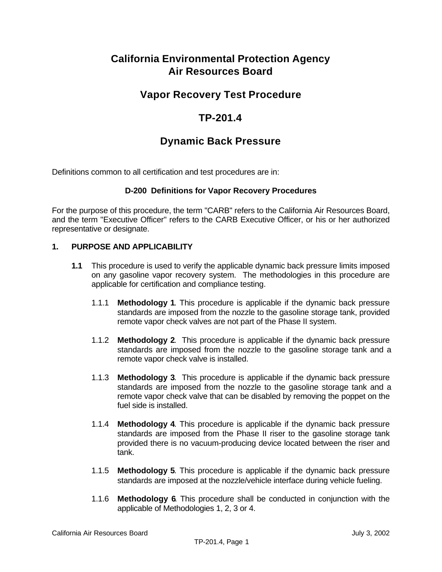# **California Environmental Protection Agency Air Resources Board**

# **Vapor Recovery Test Procedure**

# **TP-201.4**

## **Dynamic Back Pressure**

Definitions common to all certification and test procedures are in:

#### **D-200 Definitions for Vapor Recovery Procedures**

For the purpose of this procedure, the term "CARB" refers to the California Air Resources Board, and the term "Executive Officer" refers to the CARB Executive Officer, or his or her authorized representative or designate.

#### **1. PURPOSE AND APPLICABILITY**

- **1.1** This procedure is used to verify the applicable dynamic back pressure limits imposed on any gasoline vapor recovery system. The methodologies in this procedure are applicable for certification and compliance testing.
	- 1.1.1 **Methodology 1**. This procedure is applicable if the dynamic back pressure standards are imposed from the nozzle to the gasoline storage tank, provided remote vapor check valves are not part of the Phase II system.
	- 1.1.2 **Methodology 2**. This procedure is applicable if the dynamic back pressure standards are imposed from the nozzle to the gasoline storage tank and a remote vapor check valve is installed.
	- 1.1.3 **Methodology 3**. This procedure is applicable if the dynamic back pressure standards are imposed from the nozzle to the gasoline storage tank and a remote vapor check valve that can be disabled by removing the poppet on the fuel side is installed.
	- 1.1.4 **Methodology 4**. This procedure is applicable if the dynamic back pressure standards are imposed from the Phase II riser to the gasoline storage tank provided there is no vacuum-producing device located between the riser and tank.
	- 1.1.5 **Methodology 5**. This procedure is applicable if the dynamic back pressure standards are imposed at the nozzle/vehicle interface during vehicle fueling.
	- 1.1.6 **Methodology 6**. This procedure shall be conducted in conjunction with the applicable of Methodologies 1, 2, 3 or 4.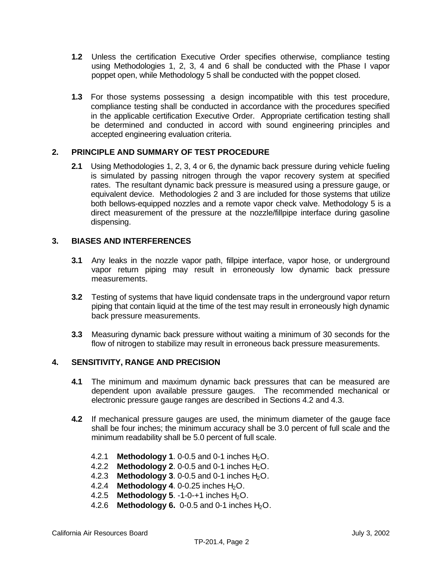- <span id="page-2-0"></span>**1.2** Unless the certification Executive Order specifies otherwise, compliance testing using Methodologies 1, 2, 3, 4 and 6 shall be conducted with the Phase I vapor poppet open, while Methodology 5 shall be conducted with the poppet closed.
- **1.3** For those systems possessing a design incompatible with this test procedure, compliance testing shall be conducted in accordance with the procedures specified in the applicable certification Executive Order. Appropriate certification testing shall be determined and conducted in accord with sound engineering principles and accepted engineering evaluation criteria.

#### **2. PRINCIPLE AND SUMMARY OF TEST PROCEDURE**

**2.1** Using Methodologies 1, 2, 3, 4 or 6, the dynamic back pressure during vehicle fueling is simulated by passing nitrogen through the vapor recovery system at specified rates. The resultant dynamic back pressure is measured using a pressure gauge, or equivalent device. Methodologies 2 and 3 are included for those systems that utilize both bellows-equipped nozzles and a remote vapor check valve. Methodology 5 is a direct measurement of the pressure at the nozzle/fillpipe interface during gasoline dispensing.

#### **3. BIASES AND INTERFERENCES**

- **3.1** Any leaks in the nozzle vapor path, fillpipe interface, vapor hose, or underground vapor return piping may result in erroneously low dynamic back pressure measurements.
- **3.2** Testing of systems that have liquid condensate traps in the underground vapor return piping that contain liquid at the time of the test may result in erroneously high dynamic back pressure measurements.
- **3.3** Measuring dynamic back pressure without waiting a minimum of 30 seconds for the flow of nitrogen to stabilize may result in erroneous back pressure measurements.

#### **4. SENSITIVITY, RANGE AND PRECISION**

- **4.1** The minimum and maximum dynamic back pressures that can be measured are dependent upon available pressure gauges. The recommended mechanical or electronic pressure gauge ranges are described in Sections 4.2 and 4.3.
- **4.2** If mechanical pressure gauges are used, the minimum diameter of the gauge face shall be four inches; the minimum accuracy shall be 3.0 percent of full scale and the minimum readability shall be 5.0 percent of full scale.
	- 4.2.1 **Methodology 1.** 0-0.5 and 0-1 inches  $H_2O$ .
	- 4.2.2 **Methodology 2.** 0-0.5 and 0-1 inches  $H_2O$ .
	- 4.2.3 **Methodology 3**. 0-0.5 and 0-1 inches  $H_2O$ .
	- 4.2.4 **Methodology 4.** 0-0.25 inches H<sub>2</sub>O.
	- 4.2.5 **Methodology 5**. -1-0-+1 inches H<sub>2</sub>O.
	- 4.2.6 **Methodology 6.** 0-0.5 and 0-1 inches H<sub>2</sub>O.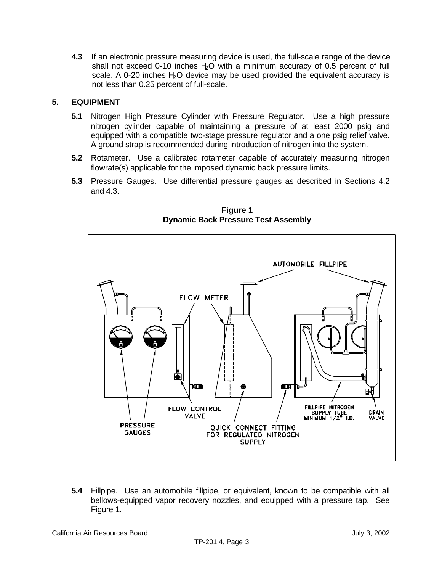**4.3** If an electronic pressure measuring device is used, the full-scale range of the device shall not exceed 0-10 inches  $H_0$  with a minimum accuracy of 0.5 percent of full scale. A 0-20 inches  $H_2O$  device may be used provided the equivalent accuracy is not less than 0.25 percent of full-scale.

#### **5. EQUIPMENT**

- **5.1** Nitrogen High Pressure Cylinder with Pressure Regulator. Use a high pressure nitrogen cylinder capable of maintaining a pressure of at least 2000 psig and equipped with a compatible two-stage pressure regulator and a one psig relief valve. A ground strap is recommended during introduction of nitrogen into the system.
- **5.2** Rotameter. Use a calibrated rotameter capable of accurately measuring nitrogen flowrate(s) applicable for the imposed dynamic back pressure limits.
- **5.3** Pressure Gauges. Use differential pressure gauges as described in Sections 4.2 and 4.3.



**Figure 1 Dynamic Back Pressure Test Assembly** 

**5.4** Fillpipe. Use an automobile fillpipe, or equivalent, known to be compatible with all bellows-equipped vapor recovery nozzles, and equipped with a pressure tap. See Figure 1.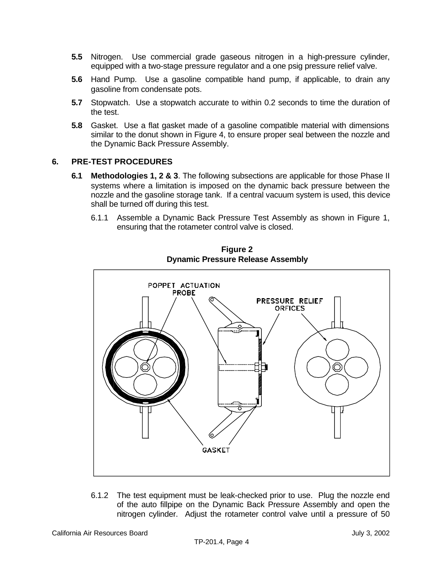- **5.5** Nitrogen. Use commercial grade gaseous nitrogen in a high-pressure cylinder, equipped with a two-stage pressure regulator and a one psig pressure relief valve.
- **5.6** Hand Pump. Use a gasoline compatible hand pump, if applicable, to drain any gasoline from condensate pots.
- **5.7** Stopwatch. Use a stopwatch accurate to within 0.2 seconds to time the duration of the test.
- **5.8** Gasket. Use a flat gasket made of a gasoline compatible material with dimensions similar to the donut shown in Figure 4, to ensure proper seal between the nozzle and the Dynamic Back Pressure Assembly.

#### **6. PRE-TEST PROCEDURES**

- **6.1 Methodologies 1, 2 & 3**. The following subsections are applicable for those Phase II systems where a limitation is imposed on the dynamic back pressure between the nozzle and the gasoline storage tank. If a central vacuum system is used, this device shall be turned off during this test.
	- 6.1.1 Assemble a Dynamic Back Pressure Test Assembly as shown in Figure 1, ensuring that the rotameter control valve is closed.



**Figure 2 Dynamic Pressure Release Assembly** 

6.1.2 The test equipment must be leak-checked prior to use. Plug the nozzle end of the auto fillpipe on the Dynamic Back Pressure Assembly and open the nitrogen cylinder. Adjust the rotameter control valve until a pressure of 50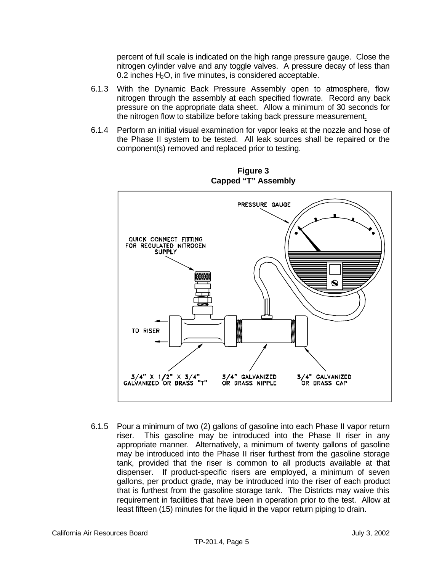percent of full scale is indicated on the high range pressure gauge. Close the nitrogen cylinder valve and any toggle valves. A pressure decay of less than 0.2 inches  $H_2O$ , in five minutes, is considered acceptable.

- 6.1.3 With the Dynamic Back Pressure Assembly open to atmosphere, flow nitrogen through the assembly at each specified flowrate. Record any back pressure on the appropriate data sheet. Allow a minimum of 30 seconds for the nitrogen flow to stabilize before taking back pressure measurement.
- 6.1.4 Perform an initial visual examination for vapor leaks at the nozzle and hose of the Phase II system to be tested. All leak sources shall be repaired or the component(s) removed and replaced prior to testing.



**Figure 3 Capped "T" Assembly** 

6.1.5 Pour a minimum of two (2) gallons of gasoline into each Phase II vapor return riser. This gasoline may be introduced into the Phase II riser in any appropriate manner. Alternatively, a minimum of twenty gallons of gasoline may be introduced into the Phase II riser furthest from the gasoline storage tank, provided that the riser is common to all products available at that dispenser. If product-specific risers are employed, a minimum of seven gallons, per product grade, may be introduced into the riser of each product that is furthest from the gasoline storage tank. The Districts may waive this requirement in facilities that have been in operation prior to the test. Allow at least fifteen (15) minutes for the liquid in the vapor return piping to drain.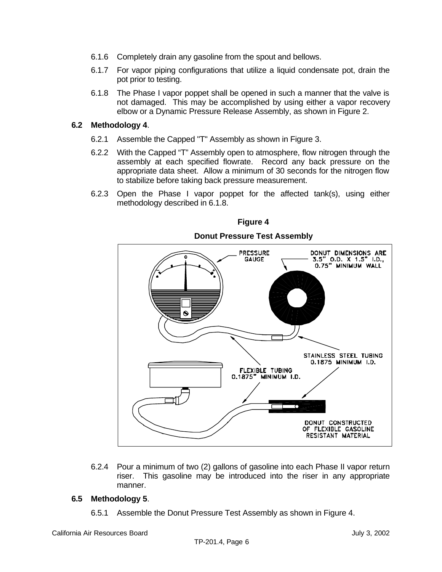- 6.1.6 Completely drain any gasoline from the spout and bellows.
- 6.1.7 For vapor piping configurations that utilize a liquid condensate pot, drain the pot prior to testing.
- 6.1.8 The Phase I vapor poppet shall be opened in such a manner that the valve is not damaged. This may be accomplished by using either a vapor recovery elbow or a Dynamic Pressure Release Assembly, as shown in Figure 2.

#### **6.2 Methodology 4**.

- 6.2.1 Assemble the Capped "T" Assembly as shown in Figure 3.
- 6.2.2 With the Capped "T" Assembly open to atmosphere, flow nitrogen through the assembly at each specified flowrate. Record any back pressure on the appropriate data sheet. Allow a minimum of 30 seconds for the nitrogen flow to stabilize before taking back pressure measurement.
- 6.2.3 Open the Phase I vapor poppet for the affected tank(s), using either methodology described in 6.1.8.



**Figure 4** 

6.2.4 Pour a minimum of two (2) gallons of gasoline into each Phase II vapor return riser. This gasoline may be introduced into the riser in any appropriate manner.

#### **6.5 Methodology 5**.

6.5.1 Assemble the Donut Pressure Test Assembly as shown in Figure 4.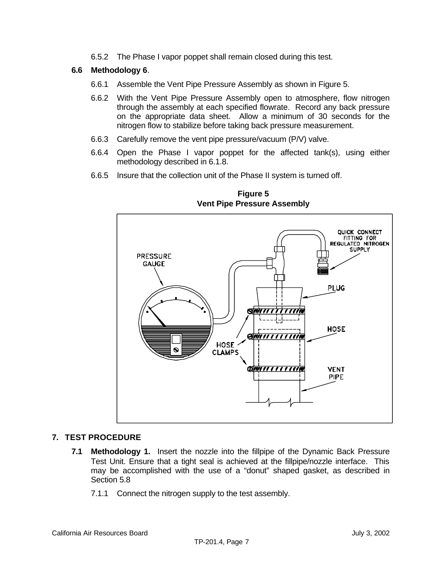6.5.2 The Phase I vapor poppet shall remain closed during this test.

#### **6.6 Methodology 6**.

- 6.6.1 Assemble the Vent Pipe Pressure Assembly as shown in Figure 5.
- 6.6.2 With the Vent Pipe Pressure Assembly open to atmosphere, flow nitrogen through the assembly at each specified flowrate. Record any back pressure on the appropriate data sheet. Allow a minimum of 30 seconds for the nitrogen flow to stabilize before taking back pressure measurement.
- 6.6.3 Carefully remove the vent pipe pressure/vacuum (P/V) valve.
- 6.6.4 Open the Phase I vapor poppet for the affected tank(s), using either methodology described in 6.1.8.
- 6.6.5 Insure that the collection unit of the Phase II system is turned off.



**Figure 5 Vent Pipe Pressure Assembly** 

#### **7. TEST PROCEDURE**

- **7.1 Methodology 1.** Insert the nozzle into the fillpipe of the Dynamic Back Pressure Test Unit. Ensure that a tight seal is achieved at the fillpipe/nozzle interface. This may be accomplished with the use of a "donut" shaped gasket, as described in Section 5.8
	- 7.1.1 Connect the nitrogen supply to the test assembly.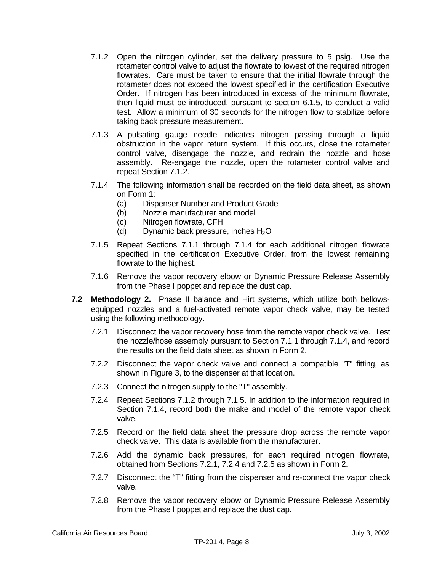- 7.1.2 Open the nitrogen cylinder, set the delivery pressure to 5 psig. Use the rotameter control valve to adjust the flowrate to lowest of the required nitrogen flowrates. Care must be taken to ensure that the initial flowrate through the rotameter does not exceed the lowest specified in the certification Executive Order. If nitrogen has been introduced in excess of the minimum flowrate, then liquid must be introduced, pursuant to section 6.1.5, to conduct a valid test. Allow a minimum of 30 seconds for the nitrogen flow to stabilize before taking back pressure measurement.
- 7.1.3 A pulsating gauge needle indicates nitrogen passing through a liquid obstruction in the vapor return system. If this occurs, close the rotameter control valve, disengage the nozzle, and redrain the nozzle and hose assembly. Re-engage the nozzle, open the rotameter control valve and repeat Section 7.1.2.
- 7.1.4 The following information shall be recorded on the field data sheet, as shown on Form 1:
	- (a) Dispenser Number and Product Grade
	- (b) Nozzle manufacturer and model
	- (c) Nitrogen flowrate, CFH
	- (d) Dynamic back pressure, inches  $H_2O$
- 7.1.5 Repeat Sections 7.1.1 through 7.1.4 for each additional nitrogen flowrate specified in the certification Executive Order, from the lowest remaining flowrate to the highest.
- 7.1.6 Remove the vapor recovery elbow or Dynamic Pressure Release Assembly from the Phase I poppet and replace the dust cap.
- **7.2 Methodology 2.** Phase II balance and Hirt systems, which utilize both bellowsequipped nozzles and a fuel-activated remote vapor check valve, may be tested using the following methodology.
	- 7.2.1 Disconnect the vapor recovery hose from the remote vapor check valve. Test the nozzle/hose assembly pursuant to Section 7.1.1 through 7.1.4, and record the results on the field data sheet as shown in Form 2.
	- 7.2.2 Disconnect the vapor check valve and connect a compatible "T" fitting, as shown in Figure 3, to the dispenser at that location.
	- 7.2.3 Connect the nitrogen supply to the "T" assembly.
	- 7.2.4 Repeat Sections 7.1.2 through 7.1.5. In addition to the information required in Section 7.1.4, record both the make and model of the remote vapor check valve.
	- 7.2.5 Record on the field data sheet the pressure drop across the remote vapor check valve. This data is available from the manufacturer.
	- 7.2.6 Add the dynamic back pressures, for each required nitrogen flowrate, obtained from Sections 7.2.1, 7.2.4 and 7.2.5 as shown in Form 2.
	- 7.2.7 Disconnect the "T" fitting from the dispenser and re-connect the vapor check valve.
	- 7.2.8 Remove the vapor recovery elbow or Dynamic Pressure Release Assembly from the Phase I poppet and replace the dust cap.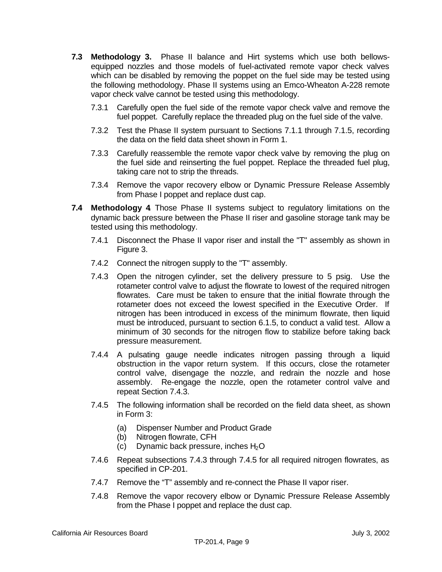- **7.3 Methodology 3.** Phase II balance and Hirt systems which use both bellowsequipped nozzles and those models of fuel-activated remote vapor check valves which can be disabled by removing the poppet on the fuel side may be tested using the following methodology. Phase II systems using an Emco-Wheaton A-228 remote vapor check valve cannot be tested using this methodology.
	- 7.3.1 Carefully open the fuel side of the remote vapor check valve and remove the fuel poppet. Carefully replace the threaded plug on the fuel side of the valve.
	- 7.3.2 Test the Phase II system pursuant to Sections 7.1.1 through 7.1.5, recording the data on the field data sheet shown in Form 1.
	- 7.3.3 Carefully reassemble the remote vapor check valve by removing the plug on the fuel side and reinserting the fuel poppet. Replace the threaded fuel plug, taking care not to strip the threads.
	- 7.3.4 Remove the vapor recovery elbow or Dynamic Pressure Release Assembly from Phase I poppet and replace dust cap.
- **7.4 Methodology 4**. Those Phase II systems subject to regulatory limitations on the dynamic back pressure between the Phase II riser and gasoline storage tank may be tested using this methodology.
	- 7.4.1 Disconnect the Phase II vapor riser and install the "T" assembly as shown in Figure 3.
	- 7.4.2 Connect the nitrogen supply to the "T" assembly.
	- 7.4.3 Open the nitrogen cylinder, set the delivery pressure to 5 psig. Use the rotameter control valve to adjust the flowrate to lowest of the required nitrogen flowrates. Care must be taken to ensure that the initial flowrate through the rotameter does not exceed the lowest specified in the Executive Order. If nitrogen has been introduced in excess of the minimum flowrate, then liquid must be introduced, pursuant to section 6.1.5, to conduct a valid test. Allow a minimum of 30 seconds for the nitrogen flow to stabilize before taking back pressure measurement.
	- 7.4.4 A pulsating gauge needle indicates nitrogen passing through a liquid obstruction in the vapor return system. If this occurs, close the rotameter control valve, disengage the nozzle, and redrain the nozzle and hose assembly. Re-engage the nozzle, open the rotameter control valve and repeat Section 7.4.3.
	- 7.4.5 The following information shall be recorded on the field data sheet, as shown in Form 3:
		- (a) Dispenser Number and Product Grade
		- (b) Nitrogen flowrate, CFH
		- (c) Dynamic back pressure, inches  $H_2O$
	- 7.4.6 Repeat subsections 7.4.3 through 7.4.5 fo r all required nitrogen flowrates, as specified in CP-201.
	- 7.4.7 Remove the "T" assembly and re-connect the Phase II vapor riser.
	- 7.4.8 Remove the vapor recovery elbow or Dynamic Pressure Release Assembly from the Phase I poppet and replace the dust cap.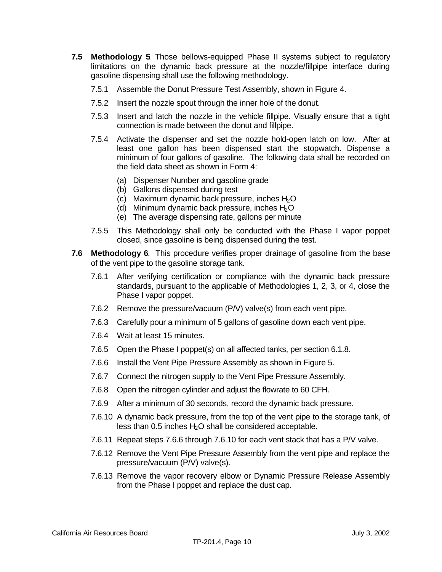- **7.5 Methodology 5**. Those bellows-equipped Phase II systems subject to regulatory limitations on the dynamic back pressure at the nozzle/fillpipe interface during gasoline dispensing shall use the following methodology.
	- 7.5.1 Assemble the Donut Pressure Test Assembly, shown in Figure 4.
	- 7.5.2 Insert the nozzle spout through the inner hole of the donut.
	- 7.5.3 Insert and latch the nozzle in the vehicle fillpipe. Visually ensure that a tight connection is made between the donut and fillpipe.
	- 7.5.4 Activate the dispenser and set the nozzle hold-open latch on low. After at least one gallon has been dispensed start the stopwatch. Dispense a minimum of four gallons of gasoline. The following data shall be recorded on the field data sheet as shown in Form 4:
		- (a) Dispenser Number and gasoline grade
		- (b) Gallons dispensed during test
		- (c) Maximum dynamic back pressure, inches  $H_2O$
		- (d) Minimum dynamic back pressure, inches  $H_2O$
		- (e) The average dispensing rate, gallons per minute
	- 7.5.5 This Methodology shall only be conducted with the Phase I vapor poppet closed, since gasoline is being dispensed during the test.
- **7.6 Methodology 6**. This procedure verifies proper drainage of gasoline from the base of the vent pipe to the gasoline storage tank.
	- 7.6.1 After verifying certification or compliance with the dynamic back pressure standards, pursuant to the applicable of Methodologies 1, 2, 3, or 4, close the Phase I vapor poppet.
	- 7.6.2 Remove the pressure/vacuum (P/V) valve(s) from each vent pipe.
	- 7.6.3 Carefully pour a minimum of 5 gallons of gasoline down each vent pipe.
	- 7.6.4 Wait at least 15 minutes.
	- 7.6.5 Open the Phase I poppet(s) on all affected tanks, per section 6.1.8.
	- 7.6.6 Install the Vent Pipe Pressure Assembly as shown in Figure 5.
	- 7.6.7 Connect the nitrogen supply to the Vent Pipe Pressure Assembly.
	- 7.6.8 Open the nitrogen cylinder and adjust the flowrate to 60 CFH.
	- 7.6.9 After a minimum of 30 seconds, record the dynamic back pressure.
	- 7.6.10 A dynamic back pressure, from the top of the vent pipe to the storage tank, of less than  $0.5$  inches  $H_2O$  shall be considered acceptable.
	- 7.6.11 Repeat steps 7.6.6 through 7.6.10 for each vent stack that has a P/V valve.
	- 7.6.12 Remove the Vent Pipe Pressure Assembly from the vent pipe and replace the pressure/vacuum (P/V) valve(s).
	- 7.6.13 Remove the vapor recovery elbow or Dynamic Pressure Release Assembly from the Phase I poppet and replace the dust cap.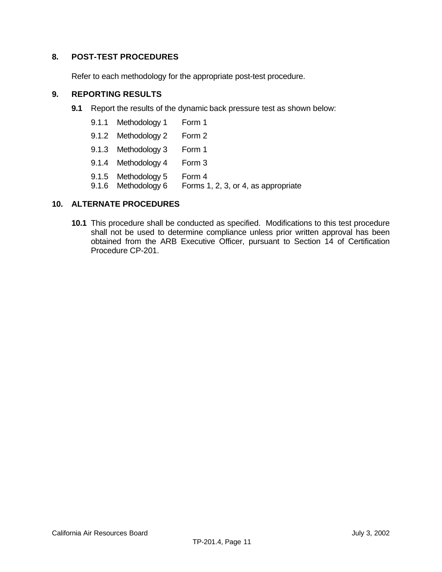#### **8. POST-TEST PROCEDURES**

Refer to each methodology for the appropriate post-test procedure.

#### **9. REPORTING RESULTS**

- **9.1** Report the results of the dynamic back pressure test as shown below:
	- 9.1.1 Methodology 1 Form 1
	- [9.1.2 Methodology 2 Form 2](#page-2-0)
	- 9.1.3 Methodology 3 Form 1
	- 9.1.4 Methodology 4 Form 3
	- 9.1.5 Methodology 5 Form 4
	- 9.1.6 Methodology 6 Forms 1, 2, 3, or 4, as appropriate

#### **10. ALTERNATE PROCEDURES**

**10.1** This procedure shall be conducted as specified. Modifications to this test procedure shall not be used to determine compliance unless prior written approval has been obtained from the ARB Executive Officer, pursuant to Section 14 of Certification Procedure CP-201.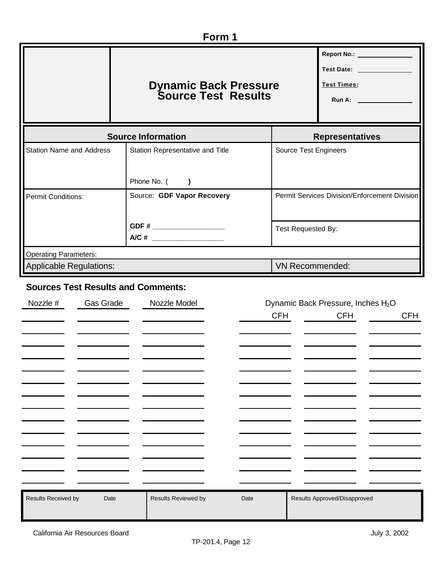| Form 1                                                                                |                                                      |                                               |                                                                                                                                                                                                                                                                                      |  |  |  |
|---------------------------------------------------------------------------------------|------------------------------------------------------|-----------------------------------------------|--------------------------------------------------------------------------------------------------------------------------------------------------------------------------------------------------------------------------------------------------------------------------------------|--|--|--|
|                                                                                       | <b>Dynamic Back Pressure<br/>Source Test Results</b> |                                               | Report No.: ________________<br>Test Date: \\square\\sqrt{\sqrt{\sqrt{\sqrt{\sqrt{\sqrt{\sqrt{\sqrt{\sqrt{\sqrt{\sqrt{\sqrt{\sqrt{\sqrt{\sqrt{\sqrt{\sqrt{\sqrt{\sqrt{\sqrt{\sqrt{\sqrt{\sqrt{\sqrt{\sqrt{\sqrt{\sqrt{\sqrt{\sqrt{\sqrt{\sqrt{\sqrt{\sqrt{\sqr<br><b>Test Times:</b> |  |  |  |
|                                                                                       | <b>Source Information</b>                            | <b>Representatives</b>                        |                                                                                                                                                                                                                                                                                      |  |  |  |
| <b>Station Name and Address</b>                                                       | Station Representative and Title                     | Source Test Engineers                         |                                                                                                                                                                                                                                                                                      |  |  |  |
|                                                                                       | Phone No. ()                                         |                                               |                                                                                                                                                                                                                                                                                      |  |  |  |
| <b>Permit Conditions:</b>                                                             | Source: GDF Vapor Recovery                           | Permit Services Division/Enforcement Division |                                                                                                                                                                                                                                                                                      |  |  |  |
| GDF # _______________________<br>Test Requested By:<br>A/C # ________________________ |                                                      |                                               |                                                                                                                                                                                                                                                                                      |  |  |  |
| <b>Operating Parameters:</b>                                                          |                                                      |                                               |                                                                                                                                                                                                                                                                                      |  |  |  |
| <b>Applicable Regulations:</b>                                                        |                                                      | <b>VN Recommended:</b>                        |                                                                                                                                                                                                                                                                                      |  |  |  |

## **Sources Test Results and Comments:**

| Nozzle #            | Gas Grade | Nozzle Model        | Dynamic Back Pressure, Inches H <sub>2</sub> O |                              |            |  |
|---------------------|-----------|---------------------|------------------------------------------------|------------------------------|------------|--|
|                     |           |                     | <b>CFH</b>                                     | <b>CFH</b>                   | <b>CFH</b> |  |
|                     |           |                     |                                                |                              |            |  |
|                     |           |                     |                                                |                              |            |  |
|                     |           |                     |                                                |                              |            |  |
|                     |           |                     |                                                |                              |            |  |
|                     |           |                     |                                                |                              |            |  |
|                     |           |                     |                                                |                              |            |  |
|                     |           |                     |                                                |                              |            |  |
|                     |           |                     |                                                |                              |            |  |
|                     |           |                     |                                                |                              |            |  |
|                     |           |                     |                                                |                              |            |  |
|                     |           |                     |                                                |                              |            |  |
|                     |           |                     |                                                |                              |            |  |
|                     |           |                     |                                                |                              |            |  |
|                     |           |                     |                                                |                              |            |  |
| Results Received by | Date      | Results Reviewed by | Date                                           | Results Approved/Disapproved |            |  |
|                     |           |                     |                                                |                              |            |  |
|                     |           |                     |                                                |                              |            |  |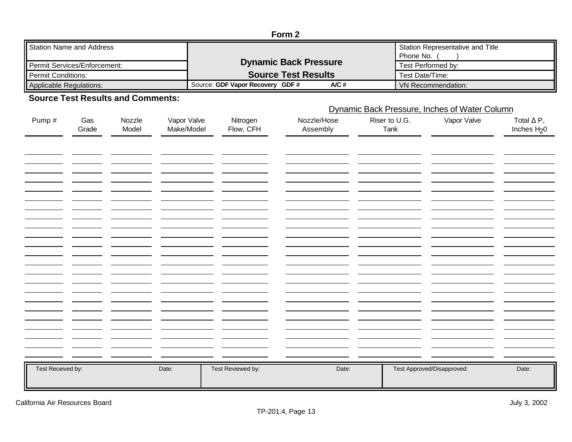| Form 2                       |                                          |                                  |  |  |  |
|------------------------------|------------------------------------------|----------------------------------|--|--|--|
| Station Name and Address     |                                          | Station Representative and Title |  |  |  |
|                              |                                          | Phone No.                        |  |  |  |
| Permit Services/Enforcement: | <b>Dynamic Back Pressure</b>             | Test Performed by:               |  |  |  |
| <b>Il Permit Conditions:</b> | <b>Source Test Results</b>               | Test Date/Time:                  |  |  |  |
| Applicable Regulations:      | A/C#<br>Source: GDF Vapor Recovery GDF # | VN Recommendation:               |  |  |  |

## **Source Test Results and Comments:**

### Dynamic Back Pressure, Inches of Water Column

| Pump#             | Gas<br>Grade | Nozzle<br>Model | Vapor Valve<br>Make/Model | Nitrogen<br>Flow, CFH | Nozzle/Hose<br>Assembly | Riser to U.G.<br>Tank | Vapor Valve                | Total $\Delta$ P,<br>Inches $H20$ |
|-------------------|--------------|-----------------|---------------------------|-----------------------|-------------------------|-----------------------|----------------------------|-----------------------------------|
|                   |              |                 |                           |                       |                         |                       |                            |                                   |
|                   |              |                 |                           |                       |                         |                       |                            |                                   |
|                   |              |                 |                           |                       |                         |                       |                            |                                   |
|                   |              |                 |                           |                       |                         |                       |                            |                                   |
|                   |              |                 |                           |                       |                         |                       |                            |                                   |
|                   |              |                 |                           |                       |                         |                       |                            |                                   |
|                   |              |                 |                           |                       |                         |                       |                            |                                   |
|                   |              |                 |                           |                       |                         |                       |                            |                                   |
|                   |              |                 |                           |                       |                         |                       |                            |                                   |
|                   |              |                 |                           |                       |                         |                       |                            |                                   |
|                   |              |                 |                           |                       |                         |                       |                            |                                   |
| Test Received by: |              |                 | Date:                     | Test Reviewed by:     | Date:                   |                       | Test Approved/Disapproved: | Date:                             |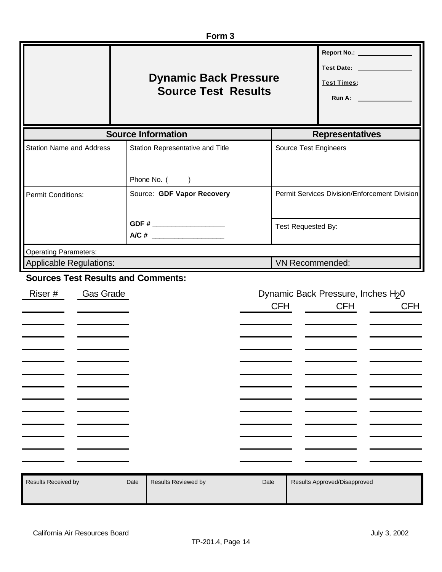| Form <sub>3</sub>                                                                                                                                                                                                        |                                                  |                                                           |                                               |  |  |  |  |
|--------------------------------------------------------------------------------------------------------------------------------------------------------------------------------------------------------------------------|--------------------------------------------------|-----------------------------------------------------------|-----------------------------------------------|--|--|--|--|
| Report No.: ________________<br>Test Date: \\square\\square\\square\\square\\square\\square\\square\\square\\square\\square\\square\<br><b>Dynamic Back Pressure</b><br><b>Test Times:</b><br><b>Source Test Results</b> |                                                  |                                                           |                                               |  |  |  |  |
|                                                                                                                                                                                                                          | <b>Source Information</b>                        | <b>Representatives</b>                                    |                                               |  |  |  |  |
| <b>Station Name and Address</b>                                                                                                                                                                                          | Station Representative and Title<br>Phone No. () | <b>Source Test Engineers</b>                              |                                               |  |  |  |  |
| <b>Permit Conditions:</b>                                                                                                                                                                                                | Source: GDF Vapor Recovery                       |                                                           | Permit Services Division/Enforcement Division |  |  |  |  |
|                                                                                                                                                                                                                          | GDF # _____________________                      | Test Requested By:                                        |                                               |  |  |  |  |
| <b>Operating Parameters:</b>                                                                                                                                                                                             |                                                  |                                                           |                                               |  |  |  |  |
| <b>Applicable Regulations:</b><br><b>Sources Test Results and Comments:</b>                                                                                                                                              |                                                  | VN Recommended:                                           |                                               |  |  |  |  |
| Riser #<br>Gas Grade                                                                                                                                                                                                     |                                                  | Dynamic Back Pressure, Inches H <sub>2</sub> 0<br>CFH CFH | <b>CFH</b>                                    |  |  |  |  |
| Results Received by                                                                                                                                                                                                      | Results Reviewed by<br>Date                      | Results Approved/Disapproved<br>Date                      |                                               |  |  |  |  |